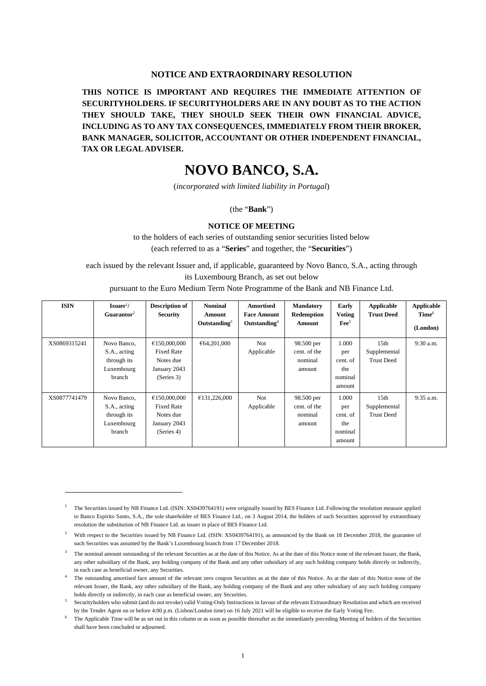#### **NOTICE AND EXTRAORDINARY RESOLUTION**

**THIS NOTICE IS IMPORTANT AND REQUIRES THE IMMEDIATE ATTENTION OF SECURITYHOLDERS. IF SECURITYHOLDERS ARE IN ANY DOUBT AS TO THE ACTION THEY SHOULD TAKE, THEY SHOULD SEEK THEIR OWN FINANCIAL ADVICE, INCLUDING AS TO ANY TAX CONSEQUENCES, IMMEDIATELY FROM THEIR BROKER, BANK MANAGER, SOLICITOR, ACCOUNTANT OR OTHER INDEPENDENT FINANCIAL, TAX OR LEGAL ADVISER.** 

# **NOVO BANCO, S.A.**

(*incorporated with limited liability in Portugal*)

(the "**Bank**")

#### **NOTICE OF MEETING**

to the holders of each series of outstanding senior securities listed below (each referred to as a "**Series**" and together, the "**Securities**")

each issued by the relevant Issuer and, if applicable, guaranteed by Novo Banco, S.A., acting through

its Luxembourg Branch, as set out below

pursuant to the Euro Medium Term Note Programme of the Bank and NB Finance Ltd.

| <b>ISIN</b>  | $\mathbf{I}$ ssuer <sup>1</sup> /<br>Guarantor <sup>2</sup>        | <b>Description of</b><br><b>Security</b>                                     | <b>Nominal</b><br>Amount<br>Outstanding $3$ | <b>Amortised</b><br><b>Face Amount</b><br>Outstanding <sup>4</sup> | <b>Mandatory</b><br>Redemption<br><b>Amount</b> | Early<br><b>Voting</b><br>$\text{Fe}^5$              | Applicable<br><b>Trust Deed</b>                       | <b>Applicable</b><br>Time <sup>6</sup> |
|--------------|--------------------------------------------------------------------|------------------------------------------------------------------------------|---------------------------------------------|--------------------------------------------------------------------|-------------------------------------------------|------------------------------------------------------|-------------------------------------------------------|----------------------------------------|
|              |                                                                    |                                                                              |                                             |                                                                    |                                                 |                                                      |                                                       | (London)                               |
| XS0869315241 | Novo Banco,<br>S.A., acting<br>through its<br>Luxembourg<br>branch | €150,000,000<br><b>Fixed Rate</b><br>Notes due<br>January 2043<br>(Series 3) | €64,201,000                                 | <b>Not</b><br>Applicable                                           | 98.500 per<br>cent. of the<br>nominal<br>amount | 1.000<br>per<br>cent. of<br>the<br>nominal<br>amount | 15 <sub>th</sub><br>Supplemental<br><b>Trust Deed</b> | 9:30 a.m.                              |
| XS0877741479 | Novo Banco,<br>S.A., acting<br>through its<br>Luxembourg<br>branch | €150,000,000<br><b>Fixed Rate</b><br>Notes due<br>January 2043<br>(Series 4) | £131,226,000                                | <b>Not</b><br>Applicable                                           | 98.500 per<br>cent. of the<br>nominal<br>amount | 1.000<br>per<br>cent. of<br>the<br>nominal<br>amount | 15 <sub>th</sub><br>Supplemental<br><b>Trust Deed</b> | 9:35 a.m.                              |

<sup>1</sup> The Securities issued by NB Finance Ltd. (ISIN: XS0439764191) were originally issued by BES Finance Ltd. Following the resolution measure applied to Banco Espírito Santo, S.A., the sole shareholder of BES Finance Ltd., on 3 August 2014, the holders of such Securities approved by extraordinary resolution the substitution of NB Finance Ltd. as issuer in place of BES Finance Ltd.

<sup>2</sup> With respect to the Securities issued by NB Finance Ltd. (ISIN: XS0439764191), as announced by the Bank on 18 December 2018, the guarantee of such Securities was assumed by the Bank's Luxembourg branch from 17 December 2018.

<sup>3</sup> The nominal amount outstanding of the relevant Securities as at the date of this Notice. As at the date of this Notice none of the relevant Issuer, the Bank, any other subsidiary of the Bank, any holding company of the Bank and any other subsidiary of any such holding company holds directly or indirectly, in each case as beneficial owner, any Securities.

<sup>&</sup>lt;sup>4</sup> The outstanding amortised face amount of the relevant zero coupon Securities as at the date of this Notice. As at the date of this Notice none of the relevant Issuer, the Bank, any other subsidiary of the Bank, any holding company of the Bank and any other subsidiary of any such holding company holds directly or indirectly, in each case as beneficial owner, any Securities.

<sup>&</sup>lt;sup>5</sup> Securityholders who submit (and do not revoke) valid Voting-Only Instructions in favour of the relevant Extraordinary Resolution and which are received by the Tender Agent on or before 4:00 p.m. (Lisbon/London time) on 16 July 2021 will be eligible to receive the Early Voting Fee.

The Applicable Time will be as set out in this column or as soon as possible thereafter as the immediately preceding Meeting of holders of the Securities shall have been concluded or adjourned.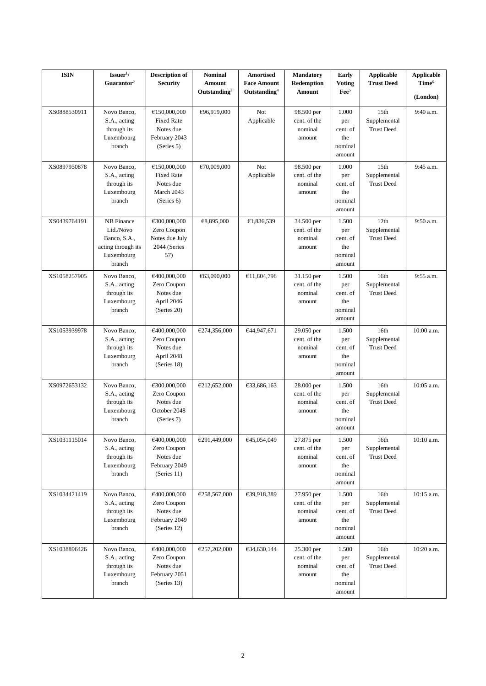| <b>ISIN</b>  | $\textbf{I}$ ssuer <sup>1</sup> /<br>Guarantor <sup>2</sup>                           | <b>Description of</b><br><b>Security</b>                                      | <b>Nominal</b><br><b>Amount</b><br>Outstanding $3$ | Amortised<br><b>Face Amount</b><br>Outstanding <sup>4</sup> | <b>Mandatory</b><br>Redemption<br>Amount        | Early<br><b>Voting</b><br>$\text{Fe}e^5$             | <b>Applicable</b><br><b>Trust Deed</b>                | <b>Applicable</b><br>Time <sup>6</sup><br>(London) |
|--------------|---------------------------------------------------------------------------------------|-------------------------------------------------------------------------------|----------------------------------------------------|-------------------------------------------------------------|-------------------------------------------------|------------------------------------------------------|-------------------------------------------------------|----------------------------------------------------|
| XS0888530911 | Novo Banco,<br>S.A., acting<br>through its<br>Luxembourg<br>branch                    | €150,000,000<br><b>Fixed Rate</b><br>Notes due<br>February 2043<br>(Series 5) | €96,919,000                                        | Not<br>Applicable                                           | 98.500 per<br>cent. of the<br>nominal<br>amount | 1.000<br>per<br>cent. of<br>the<br>nominal<br>amount | 15th<br>Supplemental<br><b>Trust Deed</b>             | 9:40 a.m.                                          |
| XS0897950878 | Novo Banco,<br>S.A., acting<br>through its<br>Luxembourg<br>branch                    | €150,000,000<br><b>Fixed Rate</b><br>Notes due<br>March 2043<br>(Series 6)    | €70,009,000                                        | Not<br>Applicable                                           | 98.500 per<br>cent. of the<br>nominal<br>amount | 1.000<br>per<br>cent. of<br>the<br>nominal<br>amount | 15 <sub>th</sub><br>Supplemental<br><b>Trust Deed</b> | 9:45 a.m.                                          |
| XS0439764191 | NB Finance<br>Ltd./Novo<br>Banco, S.A.,<br>acting through its<br>Luxembourg<br>branch | €300,000,000<br>Zero Coupon<br>Notes due July<br>2044 (Series<br>57)          | €8,895,000                                         | €1,836,539                                                  | 34.500 per<br>cent. of the<br>nominal<br>amount | 1.500<br>per<br>cent. of<br>the<br>nominal<br>amount | 12th<br>Supplemental<br><b>Trust Deed</b>             | 9:50 a.m.                                          |
| XS1058257905 | Novo Banco,<br>S.A., acting<br>through its<br>Luxembourg<br>branch                    | €400,000,000<br>Zero Coupon<br>Notes due<br>April 2046<br>(Series 20)         | €63,090,000                                        | £11,804,798                                                 | 31.150 per<br>cent. of the<br>nominal<br>amount | 1.500<br>per<br>cent. of<br>the<br>nominal<br>amount | 16th<br>Supplemental<br><b>Trust Deed</b>             | 9:55 a.m.                                          |
| XS1053939978 | Novo Banco,<br>S.A., acting<br>through its<br>Luxembourg<br>branch                    | €400,000,000<br>Zero Coupon<br>Notes due<br>April 2048<br>(Series 18)         | €274,356,000                                       | €44,947,671                                                 | 29.050 per<br>cent. of the<br>nominal<br>amount | 1.500<br>per<br>cent. of<br>the<br>nominal<br>amount | 16th<br>Supplemental<br><b>Trust Deed</b>             | 10:00 a.m.                                         |
| XS0972653132 | Novo Banco,<br>S.A., acting<br>through its<br>Luxembourg<br>branch                    | €300,000,000<br>Zero Coupon<br>Notes due<br>October 2048<br>(Series 7)        | €212,652,000                                       | €33,686,163                                                 | 28.000 per<br>cent. of the<br>nominal<br>amount | 1.500<br>per<br>cent. of<br>the<br>nominal<br>amount | 16th<br>Supplemental<br><b>Trust Deed</b>             | $10:05$ a.m.                                       |
| XS1031115014 | Novo Banco,<br>S.A., acting<br>through its<br>Luxembourg<br>branch                    | €400,000,000<br>Zero Coupon<br>Notes due<br>February 2049<br>(Series 11)      | €291,449,000                                       | €45,054,049                                                 | 27.875 per<br>cent. of the<br>nominal<br>amount | 1.500<br>per<br>cent. of<br>the<br>nominal<br>amount | 16th<br>Supplemental<br><b>Trust Deed</b>             | 10:10 a.m.                                         |
| XS1034421419 | Novo Banco,<br>S.A., acting<br>through its<br>Luxembourg<br>branch                    | €400,000,000<br>Zero Coupon<br>Notes due<br>February 2049<br>(Series 12)      | €258,567,000                                       | €39,918,389                                                 | 27.950 per<br>cent. of the<br>nominal<br>amount | 1.500<br>per<br>cent. of<br>the<br>nominal<br>amount | 16th<br>Supplemental<br><b>Trust Deed</b>             | 10:15 a.m.                                         |
| XS1038896426 | Novo Banco,<br>S.A., acting<br>through its<br>Luxembourg<br>branch                    | €400,000,000<br>Zero Coupon<br>Notes due<br>February 2051<br>(Series 13)      | €257,202,000                                       | €34,630,144                                                 | 25.300 per<br>cent. of the<br>nominal<br>amount | 1.500<br>per<br>cent. of<br>the<br>nominal<br>amount | 16th<br>Supplemental<br><b>Trust Deed</b>             | 10:20 a.m.                                         |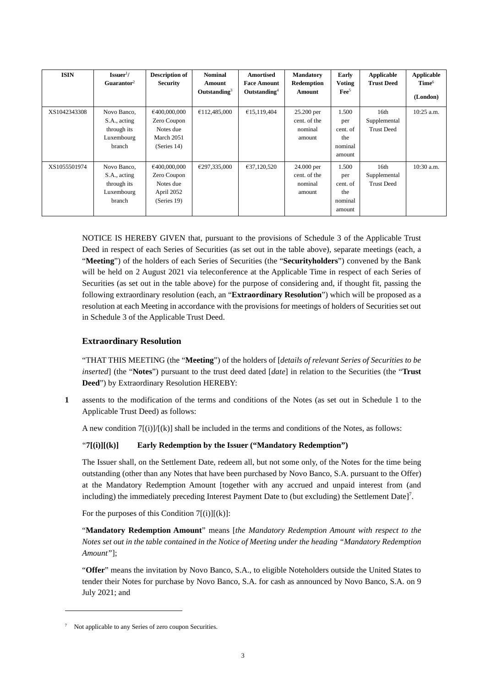| <b>ISIN</b>  | $\text{Issuer}^{1}$ /<br>Guarantor <sup>2</sup>                    | <b>Description of</b><br><b>Security</b>                              | <b>Nominal</b><br>Amount<br>Outstanding $3$ | Amortised<br><b>Face Amount</b><br>Outstanding <sup>4</sup> | <b>Mandatory</b><br>Redemption<br>Amount        | Early<br><b>Voting</b><br>$\text{Fe}^5$              | Applicable<br><b>Trust Deed</b>           | Applicable<br>Time <sup>6</sup><br>(London) |
|--------------|--------------------------------------------------------------------|-----------------------------------------------------------------------|---------------------------------------------|-------------------------------------------------------------|-------------------------------------------------|------------------------------------------------------|-------------------------------------------|---------------------------------------------|
| XS1042343308 | Novo Banco,<br>S.A., acting<br>through its<br>Luxembourg<br>branch | €400,000,000<br>Zero Coupon<br>Notes due<br>March 2051<br>(Series 14) | £112,485,000                                | £15,119,404                                                 | 25.200 per<br>cent. of the<br>nominal<br>amount | 1.500<br>per<br>cent. of<br>the<br>nominal<br>amount | 16th<br>Supplemental<br><b>Trust Deed</b> | $10:25$ a.m.                                |
| XS1055501974 | Novo Banco,<br>S.A., acting<br>through its<br>Luxembourg<br>branch | €400,000,000<br>Zero Coupon<br>Notes due<br>April 2052<br>(Series 19) | €297,335,000                                | €37,120,520                                                 | 24.000 per<br>cent. of the<br>nominal<br>amount | 1.500<br>per<br>cent. of<br>the<br>nominal<br>amount | 16th<br>Supplemental<br><b>Trust Deed</b> | $10:30$ a.m.                                |

NOTICE IS HEREBY GIVEN that, pursuant to the provisions of Schedule 3 of the Applicable Trust Deed in respect of each Series of Securities (as set out in the table above), separate meetings (each, a "**Meeting**") of the holders of each Series of Securities (the "**Securityholders**") convened by the Bank will be held on 2 August 2021 via teleconference at the Applicable Time in respect of each Series of Securities (as set out in the table above) for the purpose of considering and, if thought fit, passing the following extraordinary resolution (each, an "**Extraordinary Resolution**") which will be proposed as a resolution at each Meeting in accordance with the provisions for meetings of holders of Securities set out in Schedule 3 of the Applicable Trust Deed.

# **Extraordinary Resolution**

"THAT THIS MEETING (the "**Meeting**") of the holders of [*details of relevant Series of Securities to be inserted*] (the "**Notes**") pursuant to the trust deed dated [*date*] in relation to the Securities (the "**Trust Deed**") by Extraordinary Resolution HEREBY:

**1** assents to the modification of the terms and conditions of the Notes (as set out in Schedule 1 to the Applicable Trust Deed) as follows:

A new condition  $7[(i)]/[(k)]$  shall be included in the terms and conditions of the Notes, as follows:

# "**7[(i)][(k)] Early Redemption by the Issuer ("Mandatory Redemption")**

The Issuer shall, on the Settlement Date, redeem all, but not some only, of the Notes for the time being outstanding (other than any Notes that have been purchased by Novo Banco, S.A. pursuant to the Offer) at the Mandatory Redemption Amount [together with any accrued and unpaid interest from (and including) the immediately preceding Interest Payment Date to (but excluding) the Settlement Date]<sup>7</sup> .

For the purposes of this Condition  $7[(i)][(k)]$ :

"**Mandatory Redemption Amount**" means [*the Mandatory Redemption Amount with respect to the Notes set out in the table contained in the Notice of Meeting under the heading "Mandatory Redemption Amount"*];

"**Offer**" means the invitation by Novo Banco, S.A., to eligible Noteholders outside the United States to tender their Notes for purchase by Novo Banco, S.A. for cash as announced by Novo Banco, S.A. on 9 July 2021; and

<sup>&</sup>lt;sup>7</sup> Not applicable to any Series of zero coupon Securities.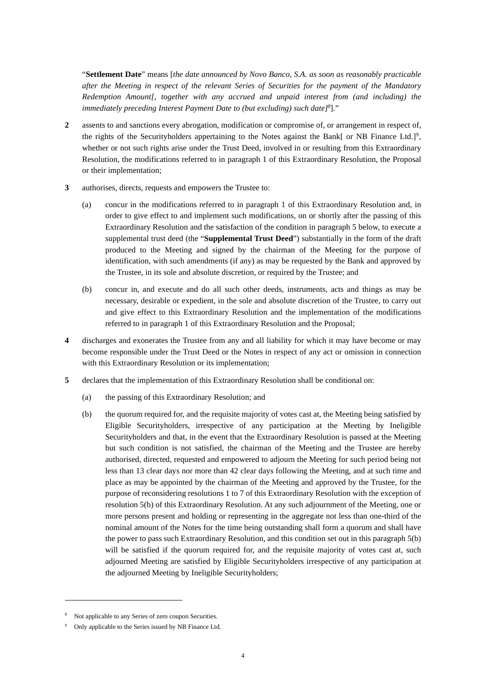"**Settlement Date**" means [*the date announced by Novo Banco, S.A. as soon as reasonably practicable after the Meeting in respect of the relevant Series of Securities for the payment of the Mandatory Redemption Amount[, together with any accrued and unpaid interest from (and including) the immediately preceding Interest Payment Date to (but excluding) such date]<sup>8</sup>* ]."

- **2** assents to and sanctions every abrogation, modification or compromise of, or arrangement in respect of, the rights of the Securityholders appertaining to the Notes against the Bank[ or NB Finance Ltd.]<sup>9</sup>, whether or not such rights arise under the Trust Deed, involved in or resulting from this Extraordinary Resolution, the modifications referred to in paragraph 1 of this Extraordinary Resolution, the Proposal or their implementation;
- **3** authorises, directs, requests and empowers the Trustee to:
	- (a) concur in the modifications referred to in paragraph 1 of this Extraordinary Resolution and, in order to give effect to and implement such modifications, on or shortly after the passing of this Extraordinary Resolution and the satisfaction of the condition in paragraph 5 below, to execute a supplemental trust deed (the "**Supplemental Trust Deed**") substantially in the form of the draft produced to the Meeting and signed by the chairman of the Meeting for the purpose of identification, with such amendments (if any) as may be requested by the Bank and approved by the Trustee, in its sole and absolute discretion, or required by the Trustee; and
	- (b) concur in, and execute and do all such other deeds, instruments, acts and things as may be necessary, desirable or expedient, in the sole and absolute discretion of the Trustee, to carry out and give effect to this Extraordinary Resolution and the implementation of the modifications referred to in paragraph 1 of this Extraordinary Resolution and the Proposal;
- **4** discharges and exonerates the Trustee from any and all liability for which it may have become or may become responsible under the Trust Deed or the Notes in respect of any act or omission in connection with this Extraordinary Resolution or its implementation;
- **5** declares that the implementation of this Extraordinary Resolution shall be conditional on:
	- (a) the passing of this Extraordinary Resolution; and
	- (b) the quorum required for, and the requisite majority of votes cast at, the Meeting being satisfied by Eligible Securityholders, irrespective of any participation at the Meeting by Ineligible Securityholders and that, in the event that the Extraordinary Resolution is passed at the Meeting but such condition is not satisfied, the chairman of the Meeting and the Trustee are hereby authorised, directed, requested and empowered to adjourn the Meeting for such period being not less than 13 clear days nor more than 42 clear days following the Meeting, and at such time and place as may be appointed by the chairman of the Meeting and approved by the Trustee, for the purpose of reconsidering resolutions 1 to 7 of this Extraordinary Resolution with the exception of resolution 5(b) of this Extraordinary Resolution. At any such adjournment of the Meeting, one or more persons present and holding or representing in the aggregate not less than one-third of the nominal amount of the Notes for the time being outstanding shall form a quorum and shall have the power to pass such Extraordinary Resolution, and this condition set out in this paragraph 5(b) will be satisfied if the quorum required for, and the requisite majority of votes cast at, such adjourned Meeting are satisfied by Eligible Securityholders irrespective of any participation at the adjourned Meeting by Ineligible Securityholders;

<sup>8</sup> Not applicable to any Series of zero coupon Securities.

<sup>9</sup> Only applicable to the Series issued by NB Finance Ltd.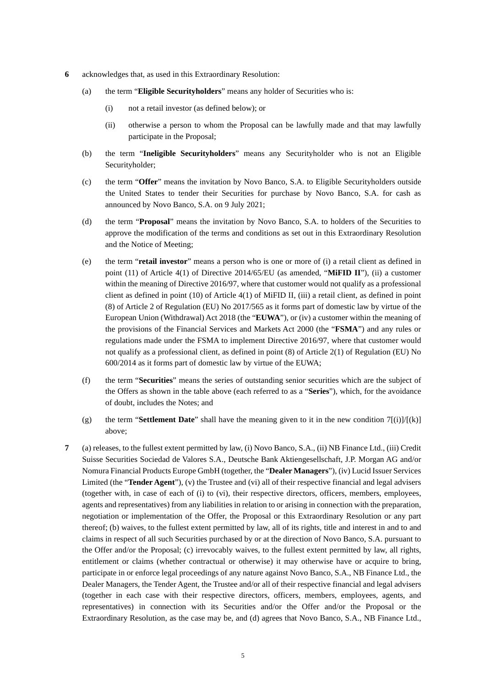- **6** acknowledges that, as used in this Extraordinary Resolution:
	- (a) the term "**Eligible Securityholders**" means any holder of Securities who is:
		- (i) not a retail investor (as defined below); or
		- (ii) otherwise a person to whom the Proposal can be lawfully made and that may lawfully participate in the Proposal;
	- (b) the term "**Ineligible Securityholders**" means any Securityholder who is not an Eligible Securityholder;
	- (c) the term "**Offer**" means the invitation by Novo Banco, S.A. to Eligible Securityholders outside the United States to tender their Securities for purchase by Novo Banco, S.A. for cash as announced by Novo Banco, S.A. on 9 July 2021;
	- (d) the term "**Proposal**" means the invitation by Novo Banco, S.A. to holders of the Securities to approve the modification of the terms and conditions as set out in this Extraordinary Resolution and the Notice of Meeting;
	- (e) the term "**retail investor**" means a person who is one or more of (i) a retail client as defined in point (11) of Article 4(1) of Directive 2014/65/EU (as amended, "**MiFID II**"), (ii) a customer within the meaning of Directive 2016/97, where that customer would not qualify as a professional client as defined in point (10) of Article 4(1) of MiFID II, (iii) a retail client, as defined in point (8) of Article 2 of Regulation (EU) No 2017/565 as it forms part of domestic law by virtue of the European Union (Withdrawal) Act 2018 (the "**EUWA**"), or (iv) a customer within the meaning of the provisions of the Financial Services and Markets Act 2000 (the "**FSMA**") and any rules or regulations made under the FSMA to implement Directive 2016/97, where that customer would not qualify as a professional client, as defined in point (8) of Article 2(1) of Regulation (EU) No 600/2014 as it forms part of domestic law by virtue of the EUWA;
	- (f) the term "**Securities**" means the series of outstanding senior securities which are the subject of the Offers as shown in the table above (each referred to as a "**Series**"), which, for the avoidance of doubt, includes the Notes; and
	- (g) the term "**Settlement Date**" shall have the meaning given to it in the new condition  $7[(i)]/[(k)]$ above;
- **7** (a) releases, to the fullest extent permitted by law, (i) Novo Banco, S.A., (ii) NB Finance Ltd., (iii) Credit Suisse Securities Sociedad de Valores S.A., Deutsche Bank Aktiengesellschaft, J.P. Morgan AG and/or Nomura Financial Products Europe GmbH (together, the "**Dealer Managers**"), (iv) Lucid Issuer Services Limited (the "**Tender Agent**"), (v) the Trustee and (vi) all of their respective financial and legal advisers (together with, in case of each of (i) to (vi), their respective directors, officers, members, employees, agents and representatives) from any liabilities in relation to or arising in connection with the preparation, negotiation or implementation of the Offer, the Proposal or this Extraordinary Resolution or any part thereof; (b) waives, to the fullest extent permitted by law, all of its rights, title and interest in and to and claims in respect of all such Securities purchased by or at the direction of Novo Banco, S.A. pursuant to the Offer and/or the Proposal; (c) irrevocably waives, to the fullest extent permitted by law, all rights, entitlement or claims (whether contractual or otherwise) it may otherwise have or acquire to bring, participate in or enforce legal proceedings of any nature against Novo Banco, S.A., NB Finance Ltd., the Dealer Managers, the Tender Agent, the Trustee and/or all of their respective financial and legal advisers (together in each case with their respective directors, officers, members, employees, agents, and representatives) in connection with its Securities and/or the Offer and/or the Proposal or the Extraordinary Resolution, as the case may be, and (d) agrees that Novo Banco, S.A., NB Finance Ltd.,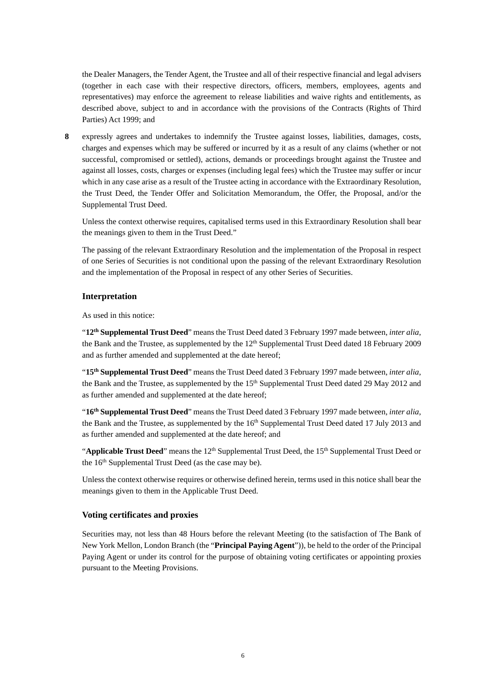the Dealer Managers, the Tender Agent, the Trustee and all of their respective financial and legal advisers (together in each case with their respective directors, officers, members, employees, agents and representatives) may enforce the agreement to release liabilities and waive rights and entitlements, as described above, subject to and in accordance with the provisions of the Contracts (Rights of Third Parties) Act 1999; and

**8** expressly agrees and undertakes to indemnify the Trustee against losses, liabilities, damages, costs, charges and expenses which may be suffered or incurred by it as a result of any claims (whether or not successful, compromised or settled), actions, demands or proceedings brought against the Trustee and against all losses, costs, charges or expenses (including legal fees) which the Trustee may suffer or incur which in any case arise as a result of the Trustee acting in accordance with the Extraordinary Resolution, the Trust Deed, the Tender Offer and Solicitation Memorandum, the Offer, the Proposal, and/or the Supplemental Trust Deed.

Unless the context otherwise requires, capitalised terms used in this Extraordinary Resolution shall bear the meanings given to them in the Trust Deed."

The passing of the relevant Extraordinary Resolution and the implementation of the Proposal in respect of one Series of Securities is not conditional upon the passing of the relevant Extraordinary Resolution and the implementation of the Proposal in respect of any other Series of Securities.

## **Interpretation**

As used in this notice:

"**12th Supplemental Trust Deed**" means the Trust Deed dated 3 February 1997 made between, *inter alia*, the Bank and the Trustee, as supplemented by the 12<sup>th</sup> Supplemental Trust Deed dated 18 February 2009 and as further amended and supplemented at the date hereof;

"**15th Supplemental Trust Deed**" means the Trust Deed dated 3 February 1997 made between, *inter alia*, the Bank and the Trustee, as supplemented by the 15<sup>th</sup> Supplemental Trust Deed dated 29 May 2012 and as further amended and supplemented at the date hereof;

"**16th Supplemental Trust Deed**" means the Trust Deed dated 3 February 1997 made between, *inter alia*, the Bank and the Trustee, as supplemented by the 16<sup>th</sup> Supplemental Trust Deed dated 17 July 2013 and as further amended and supplemented at the date hereof; and

"**Applicable Trust Deed**" means the 12<sup>th</sup> Supplemental Trust Deed, the 15<sup>th</sup> Supplemental Trust Deed or the 16<sup>th</sup> Supplemental Trust Deed (as the case may be).

Unless the context otherwise requires or otherwise defined herein, terms used in this notice shall bear the meanings given to them in the Applicable Trust Deed.

### **Voting certificates and proxies**

Securities may, not less than 48 Hours before the relevant Meeting (to the satisfaction of The Bank of New York Mellon, London Branch (the "**Principal Paying Agent**")), be held to the order of the Principal Paying Agent or under its control for the purpose of obtaining voting certificates or appointing proxies pursuant to the Meeting Provisions.